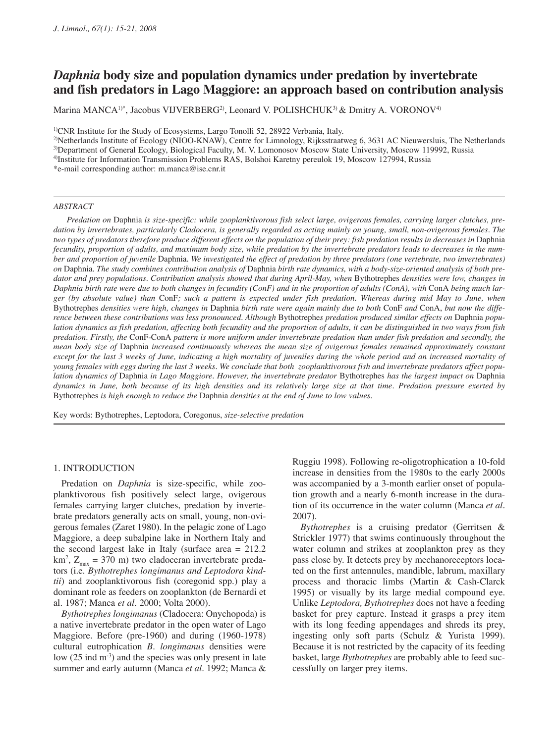# *Daphnia* **body size and population dynamics under predation by invertebrate and fish predators in Lago Maggiore: an approach based on contribution analysis**

Marina MANCA<sup>1)\*</sup>, Jacobus VIJVERBERG<sup>2)</sup>, Leonard V. POLISHCHUK<sup>3)</sup> & Dmitry A. VORONOV<sup>4)</sup>

<sup>1)</sup>CNR Institute for the Study of Ecosystems, Largo Tonolli 52, 28922 Verbania, Italy.

2)Netherlands Institute of Ecology (NIOO-KNAW), Centre for Limnology, Rijksstraatweg 6, 3631 AC Nieuwersluis, The Netherlands

3)Department of General Ecology, Biological Faculty, M. V. Lomonosov Moscow State University, Moscow 119992, Russia

4)Institute for Information Transmission Problems RAS, Bolshoi Karetny pereulok 19, Moscow 127994, Russia

\*e-mail corresponding author: m.manca@ise.cnr.it

#### *ABSTRACT*

*Predation on* Daphnia *is size-specific: while zooplanktivorous fish select large, ovigerous females, carrying larger clutches, predation by invertebrates, particularly Cladocera, is generally regarded as acting mainly on young, small, non-ovigerous females. The two types of predators therefore produce different effects on the population of their prey: fish predation results in decreases in Daphnia fecundity, proportion of adults, and maximum body size, while predation by the invertebrate predators leads to decreases in the number and proportion of juvenile* Daphnia*. We investigated the effect of predation by three predators (one vertebrate, two invertebrates) on* Daphnia*. The study combines contribution analysis of* Daphnia *birth rate dynamics, with a body-size-oriented analysis of both predator and prey populations. Contribution analysis showed that during April-May, when* Bythotrephes *densities were low, changes in* Daphnia birth rate were due to both changes in fecundity (ConF) and in the proportion of adults (ConA), with ConA being much lar*ger (by absolute value) than* ConF*; such a pattern is expected under fish predation. Whereas during mid May to June, when* Bythotrephes *densities were high, changes in* Daphnia *birth rate were again mainly due to both* ConF *and* ConA, *but now the difference between these contributions was less pronounced. Although* Bythotrephe*s predation produced similar effects on* Daphnia *population dynamics as fish predation, affecting both fecundity and the proportion of adults, it can be distinguished in two ways from fish predation. Firstly, the* ConF-ConA *pattern is more uniform under invertebrate predation than under fish predation and secondly, the mean body size of* Daphnia *increased continuously whereas the mean size of ovigerous females remained approximately constant except for the last 3 weeks of June, indicating a high mortality of juveniles during the whole period and an increased mortality of young females with eggs during the last 3 weeks. We conclude that both zooplanktivorous fish and invertebrate predators affect population dynamics of* Daphnia *in Lago Maggiore. However, the invertebrate predator* Bythotrephes *has the largest impact on* Daphnia *dynamics in June, both because of its high densities and its relatively large size at that time. Predation pressure exerted by* Bythotrephes *is high enough to reduce the* Daphnia *densities at the end of June to low values.*

Key words: Bythotrephes, Leptodora, Coregonus, *size-selective predation*

### 1. INTRODUCTION

Predation on *Daphnia* is size-specific, while zooplanktivorous fish positively select large, ovigerous females carrying larger clutches, predation by invertebrate predators generally acts on small, young, non-ovigerous females (Zaret 1980). In the pelagic zone of Lago Maggiore, a deep subalpine lake in Northern Italy and the second largest lake in Italy (surface area  $= 212.2$ )  $km^2$ ,  $Z_{max}$  = 370 m) two cladoceran invertebrate predators (i.e. *Bythotrephes longimanus and Leptodora kindtii*) and zooplanktivorous fish (coregonid spp.) play a dominant role as feeders on zooplankton (de Bernardi et al. 1987; Manca *et al.* 2000; Volta 2000).

*Bythotrephes longimanus* (Cladocera: Onychopoda) is a native invertebrate predator in the open water of Lago Maggiore. Before (pre-1960) and during (1960-1978) cultural eutrophication *B. longimanus* densities were low  $(25 \text{ ind } \text{m}^3)$  and the species was only present in late summer and early autumn (Manca *et al.* 1992; Manca &

Ruggiu 1998). Following re-oligotrophication a 10-fold increase in densities from the 1980s to the early 2000s was accompanied by a 3-month earlier onset of population growth and a nearly 6-month increase in the duration of its occurrence in the water column (Manca *et al.* 2007).

*Bythotrephes* is a cruising predator (Gerritsen & Strickler 1977) that swims continuously throughout the water column and strikes at zooplankton prey as they pass close by. It detects prey by mechanoreceptors located on the first antennules, mandible, labrum, maxillary process and thoracic limbs (Martin & Cash-Clarck 1995) or visually by its large medial compound eye. Unlike *Leptodora, Bythotrephes* does not have a feeding basket for prey capture. Instead it grasps a prey item with its long feeding appendages and shreds its prey, ingesting only soft parts (Schulz & Yurista 1999). Because it is not restricted by the capacity of its feeding basket, large *Bythotrephes* are probably able to feed successfully on larger prey items.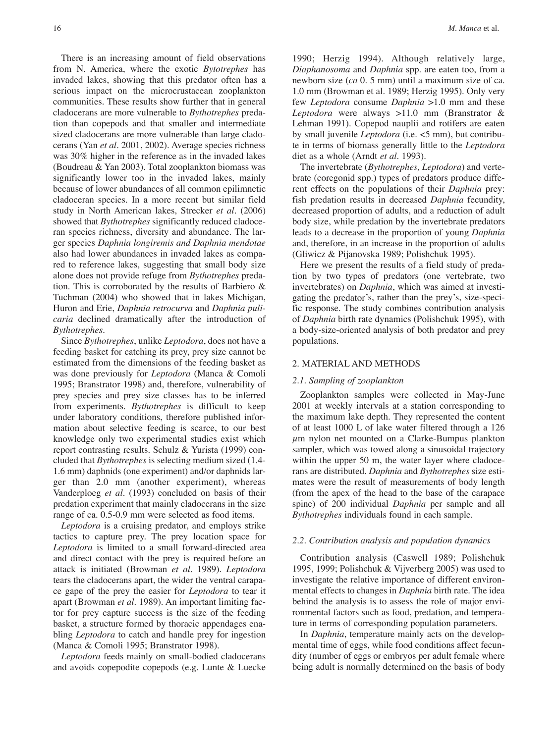There is an increasing amount of field observations from N. America, where the exotic *Bytotrephes* has invaded lakes, showing that this predator often has a serious impact on the microcrustacean zooplankton communities. These results show further that in general cladocerans are more vulnerable to *Bythotrephes* predation than copepods and that smaller and intermediate sized cladocerans are more vulnerable than large cladocerans (Yan *et al*. 2001, 2002). Average species richness was 30% higher in the reference as in the invaded lakes (Boudreau & Yan 2003). Total zooplankton biomass was significantly lower too in the invaded lakes, mainly because of lower abundances of all common epilimnetic cladoceran species. In a more recent but similar field study in North American lakes, Strecker *et al*. (2006) showed that *Bythotrephes* significantly reduced cladoceran species richness, diversity and abundance. The larger species *Daphnia longiremis and Daphnia mendotae* also had lower abundances in invaded lakes as compared to reference lakes, suggesting that small body size alone does not provide refuge from *Bythotrephes* predation. This is corroborated by the results of Barbiero & Tuchman (2004) who showed that in lakes Michigan, Huron and Erie, *Daphnia retrocurva* and *Daphnia pulicaria* declined dramatically after the introduction of *Bythotrephes*.

Since *Bythotrephes*, unlike *Leptodora*, does not have a feeding basket for catching its prey, prey size cannot be estimated from the dimensions of the feeding basket as was done previously for *Leptodora* (Manca & Comoli 1995; Branstrator 1998) and, therefore, vulnerability of prey species and prey size classes has to be inferred from experiments. *Bythotrephes* is difficult to keep under laboratory conditions, therefore published information about selective feeding is scarce, to our best knowledge only two experimental studies exist which report contrasting results. Schulz & Yurista (1999) concluded that *Bythotrephes* is selecting medium sized (1.4- 1.6 mm) daphnids (one experiment) and/or daphnids larger than 2.0 mm (another experiment), whereas Vanderploeg *et al*. (1993) concluded on basis of their predation experiment that mainly cladocerans in the size range of ca. 0.5-0.9 mm were selected as food items.

*Leptodora* is a cruising predator, and employs strike tactics to capture prey. The prey location space for *Leptodora* is limited to a small forward-directed area and direct contact with the prey is required before an attack is initiated (Browman *et al*. 1989). *Leptodora* tears the cladocerans apart, the wider the ventral carapace gape of the prey the easier for *Leptodora* to tear it apart (Browman *et al*. 1989). An important limiting factor for prey capture success is the size of the feeding basket, a structure formed by thoracic appendages enabling *Leptodora* to catch and handle prey for ingestion (Manca & Comoli 1995; Branstrator 1998).

*Leptodora* feeds mainly on small-bodied cladocerans and avoids copepodite copepods (e.g. Lunte & Luecke

1990; Herzig 1994). Although relatively large, *Diaphanosoma* and *Daphnia* spp. are eaten too, from a newborn size (*ca* 0. 5 mm) until a maximum size of ca. 1.0 mm (Browman et al. 1989; Herzig 1995). Only very few *Leptodora* consume *Daphnia* >1.0 mm and these *Leptodora* were always >11.0 mm (Branstrator & Lehman 1991). Copepod nauplii and rotifers are eaten by small juvenile *Leptodora* (i.e. <5 mm), but contribute in terms of biomass generally little to the *Leptodora* diet as a whole (Arndt *et al*. 1993).

The invertebrate (*Bythotrephes, Leptodora*) and vertebrate (coregonid spp.) types of predators produce different effects on the populations of their *Daphnia* prey: fish predation results in decreased *Daphnia* fecundity, decreased proportion of adults, and a reduction of adult body size, while predation by the invertebrate predators leads to a decrease in the proportion of young *Daphnia* and, therefore, in an increase in the proportion of adults (Gliwicz & Pijanovska 1989; Polishchuk 1995).

Here we present the results of a field study of predation by two types of predators (one vertebrate, two invertebrates) on *Daphnia*, which was aimed at investigating the predator's, rather than the prey's, size-specific response. The study combines contribution analysis of *Daphnia* birth rate dynamics (Polishchuk 1995), with a body-size-oriented analysis of both predator and prey populations.

## 2. MATERIAL AND METHODS

## *2.1. Sampling of zooplankton*

Zooplankton samples were collected in May-June 2001 at weekly intervals at a station corresponding to the maximum lake depth. They represented the content of at least 1000 L of lake water filtered through a 126  $\mu$ m nylon net mounted on a Clarke-Bumpus plankton sampler, which was towed along a sinusoidal trajectory within the upper 50 m, the water layer where cladocerans are distributed. *Daphnia* and *Bythotrephes* size estimates were the result of measurements of body length (from the apex of the head to the base of the carapace spine) of 200 individual *Daphnia* per sample and all *Bythotrephes* individuals found in each sample.

## *2.2. Contribution analysis and population dynamics*

Contribution analysis (Caswell 1989; Polishchuk 1995, 1999; Polishchuk & Vijverberg 2005) was used to investigate the relative importance of different environmental effects to changes in *Daphnia* birth rate. The idea behind the analysis is to assess the role of major environmental factors such as food, predation, and temperature in terms of corresponding population parameters.

In *Daphnia*, temperature mainly acts on the developmental time of eggs, while food conditions affect fecundity (number of eggs or embryos per adult female where being adult is normally determined on the basis of body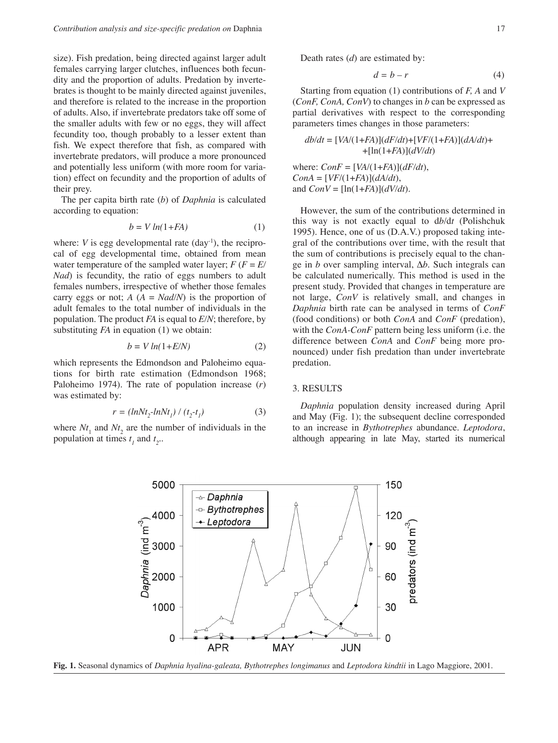size). Fish predation, being directed against larger adult females carrying larger clutches, influences both fecundity and the proportion of adults. Predation by invertebrates is thought to be mainly directed against juveniles, and therefore is related to the increase in the proportion of adults. Also, if invertebrate predators take off some of the smaller adults with few or no eggs, they will affect fecundity too, though probably to a lesser extent than fish. We expect therefore that fish, as compared with invertebrate predators, will produce a more pronounced and potentially less uniform (with more room for variation) effect on fecundity and the proportion of adults of their prey.

The per capita birth rate (*b*) of *Daphnia* is calculated according to equation:

$$
b = V \ln(1 + FA) \tag{1}
$$

where:  $V$  is egg developmental rate  $(\text{day}^{-1})$ , the reciprocal of egg developmental time, obtained from mean water temperature of the sampled water layer;  $F(F = E)$ *Nad*) is fecundity, the ratio of eggs numbers to adult females numbers, irrespective of whether those females carry eggs or not;  $A(A = \text{Nad/N})$  is the proportion of adult females to the total number of individuals in the population. The product *FA* is equal to *E/N*; therefore, by substituting *FA* in equation (1) we obtain:

$$
b = V \ln(1 + E/N) \tag{2}
$$

which represents the Edmondson and Paloheimo equations for birth rate estimation (Edmondson 1968; Paloheimo 1974). The rate of population increase (*r*) was estimated by:

$$
r = (lnNt_2 \cdot lnNt_1) / (t_2 \cdot t_1)
$$
 (3)

where  $Nt_1$  and  $Nt_2$  are the number of individuals in the population at times  $t_1$  and  $t_2$ .

Death rates (*d*) are estimated by:

$$
d = b - r \tag{4}
$$

Starting from equation (1) contributions of *F, A* and *V* (*ConF, ConA, ConV*) to changes in *b* can be expressed as partial derivatives with respect to the corresponding parameters times changes in those parameters:

$$
db/dt = [VA/(1+FA)](dF/dt) + [VF/(1+FA)](dA/dt) +
$$
  
+[ln(1+FA)](dV/dt)

where: *ConF* = [*VA*/(1+*FA*)](*dF/dt*),  $ConA = [VF/(1+FA)](dA/dt),$ and  $ConV = [\ln(1+FA)](dV/dt)$ .

However, the sum of the contributions determined in this way is not exactly equal to d*b*/d*t* (Polishchuk 1995). Hence, one of us (D.A.V.) proposed taking integral of the contributions over time, with the result that the sum of contributions is precisely equal to the change in *b* over sampling interval, ∆*b*. Such integrals can be calculated numerically. This method is used in the present study. Provided that changes in temperature are not large, *ConV* is relatively small, and changes in *Daphnia* birth rate can be analysed in terms of *ConF* (food conditions) or both *ConA* and *ConF* (predation), with the *ConA-ConF* pattern being less uniform (i.e. the difference between *ConA* and *ConF* being more pronounced) under fish predation than under invertebrate predation.

#### 3. RESULTS

*Daphnia* population density increased during April and May (Fig. 1); the subsequent decline corresponded to an increase in *Bythotrephes* abundance. *Leptodora*, although appearing in late May, started its numerical



**Fig. 1.** Seasonal dynamics of *Daphnia hyalina-galeata, Bythotrephes longimanus* and *Leptodora kindtii* in Lago Maggiore, 2001.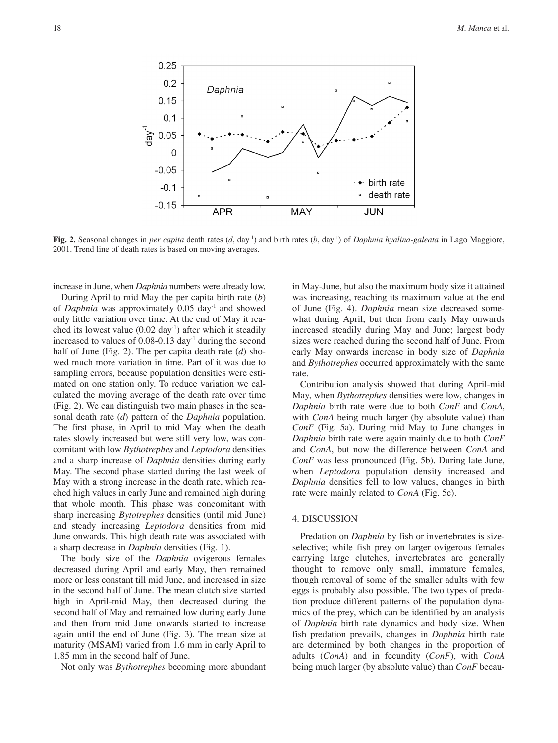

**Fig. 2.** Seasonal changes in *per capita* death rates (*d*, day-1) and birth rates (*b*, day-1) of *Daphnia hyalina-galeata* in Lago Maggiore, 2001. Trend line of death rates is based on moving averages.

increase in June, when *Daphnia* numbers were already low.

During April to mid May the per capita birth rate (*b*) of *Daphnia* was approximately 0.05 day-1 and showed only little variation over time. At the end of May it reached its lowest value  $(0.02 \text{ day}^{-1})$  after which it steadily increased to values of  $0.08-0.13$  day<sup>-1</sup> during the second half of June (Fig. 2). The per capita death rate (*d*) showed much more variation in time. Part of it was due to sampling errors, because population densities were estimated on one station only. To reduce variation we calculated the moving average of the death rate over time (Fig. 2). We can distinguish two main phases in the seasonal death rate (*d*) pattern of the *Daphnia* population. The first phase, in April to mid May when the death rates slowly increased but were still very low, was concomitant with low *Bythotrephes* and *Leptodora* densities and a sharp increase of *Daphnia* densities during early May. The second phase started during the last week of May with a strong increase in the death rate, which reached high values in early June and remained high during that whole month. This phase was concomitant with sharp increasing *Bytotrephes* densities (until mid June) and steady increasing *Leptodora* densities from mid June onwards. This high death rate was associated with a sharp decrease in *Daphnia* densities (Fig. 1).

The body size of the *Daphnia* ovigerous females decreased during April and early May, then remained more or less constant till mid June, and increased in size in the second half of June. The mean clutch size started high in April-mid May, then decreased during the second half of May and remained low during early June and then from mid June onwards started to increase again until the end of June (Fig. 3). The mean size at maturity (MSAM) varied from 1.6 mm in early April to 1.85 mm in the second half of June.

Not only was *Bythotrephes* becoming more abundant

in May-June, but also the maximum body size it attained was increasing, reaching its maximum value at the end of June (Fig. 4). *Daphnia* mean size decreased somewhat during April, but then from early May onwards increased steadily during May and June; largest body sizes were reached during the second half of June. From early May onwards increase in body size of *Daphnia* and *Bythotrephes* occurred approximately with the same rate.

Contribution analysis showed that during April-mid May, when *Bythotrephes* densities were low, changes in *Daphnia* birth rate were due to both *ConF* and *ConA*, with *ConA* being much larger (by absolute value) than *ConF* (Fig. 5a). During mid May to June changes in *Daphnia* birth rate were again mainly due to both *ConF* and *ConA*, but now the difference between *ConA* and *ConF* was less pronounced (Fig. 5b). During late June, when *Leptodora* population density increased and *Daphnia* densities fell to low values, changes in birth rate were mainly related to *ConA* (Fig. 5c).

# 4. DISCUSSION

Predation on *Daphnia* by fish or invertebrates is sizeselective; while fish prey on larger ovigerous females carrying large clutches, invertebrates are generally thought to remove only small, immature females, though removal of some of the smaller adults with few eggs is probably also possible. The two types of predation produce different patterns of the population dynamics of the prey, which can be identified by an analysis of *Daphnia* birth rate dynamics and body size. When fish predation prevails, changes in *Daphnia* birth rate are determined by both changes in the proportion of adults (*ConA*) and in fecundity (*ConF*), with *ConA* being much larger (by absolute value) than *ConF* becau-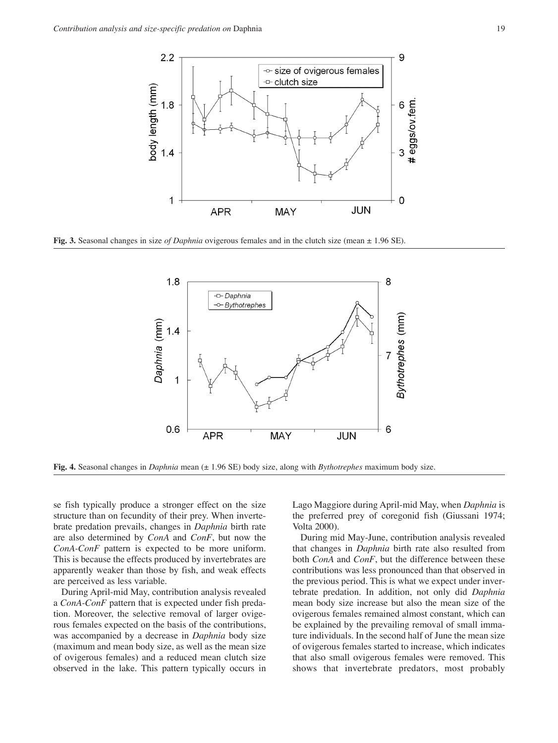

**Fig. 3.** Seasonal changes in size *of Daphnia* ovigerous females and in the clutch size (mean ± 1.96 SE).



**Fig. 4.** Seasonal changes in *Daphnia* mean (± 1.96 SE) body size, along with *Bythotrephes* maximum body size.

se fish typically produce a stronger effect on the size structure than on fecundity of their prey. When invertebrate predation prevails, changes in *Daphnia* birth rate are also determined by *ConA* and *ConF*, but now the *ConA-ConF* pattern is expected to be more uniform. This is because the effects produced by invertebrates are apparently weaker than those by fish, and weak effects are perceived as less variable.

During April-mid May, contribution analysis revealed a *ConA-ConF* pattern that is expected under fish predation. Moreover, the selective removal of larger ovigerous females expected on the basis of the contributions, was accompanied by a decrease in *Daphnia* body size (maximum and mean body size, as well as the mean size of ovigerous females) and a reduced mean clutch size observed in the lake. This pattern typically occurs in

Lago Maggiore during April-mid May, when *Daphnia* is the preferred prey of coregonid fish (Giussani 1974; Volta 2000).

During mid May-June, contribution analysis revealed that changes in *Daphnia* birth rate also resulted from both *ConA* and *ConF*, but the difference between these contributions was less pronounced than that observed in the previous period. This is what we expect under invertebrate predation. In addition, not only did *Daphnia* mean body size increase but also the mean size of the ovigerous females remained almost constant, which can be explained by the prevailing removal of small immature individuals. In the second half of June the mean size of ovigerous females started to increase, which indicates that also small ovigerous females were removed. This shows that invertebrate predators, most probably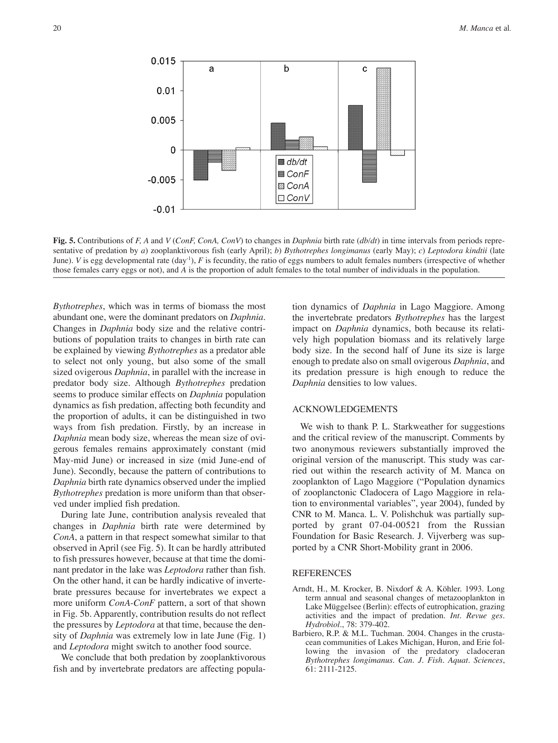

**Fig. 5.** Contributions of *F, A* and *V* (*ConF, ConA, ConV*) to changes in *Daphnia* birth rate (*db/dt*) in time intervals from periods representative of predation by *a*) zooplanktivorous fish (early April); *b*) *Bythotrephes longimanus* (early May); *c*) *Leptodora kindtii* (late June). *V* is egg developmental rate (day<sup>-1</sup>), *F* is fecundity, the ratio of eggs numbers to adult females numbers (irrespective of whether those females carry eggs or not), and *A* is the proportion of adult females to the total number of individuals in the population.

*Bythotrephes*, which was in terms of biomass the most abundant one, were the dominant predators on *Daphnia*. Changes in *Daphnia* body size and the relative contributions of population traits to changes in birth rate can be explained by viewing *Bythotrephes* as a predator able to select not only young, but also some of the small sized ovigerous *Daphnia*, in parallel with the increase in predator body size. Although *Bythotrephes* predation seems to produce similar effects on *Daphnia* population dynamics as fish predation, affecting both fecundity and the proportion of adults, it can be distinguished in two ways from fish predation. Firstly, by an increase in *Daphnia* mean body size, whereas the mean size of ovigerous females remains approximately constant (mid May-mid June) or increased in size (mid June-end of June). Secondly, because the pattern of contributions to *Daphnia* birth rate dynamics observed under the implied *Bythotrephes* predation is more uniform than that observed under implied fish predation.

During late June, contribution analysis revealed that changes in *Daphnia* birth rate were determined by *ConA*, a pattern in that respect somewhat similar to that observed in April (see Fig. 5). It can be hardly attributed to fish pressures however, because at that time the dominant predator in the lake was *Leptodora* rather than fish. On the other hand, it can be hardly indicative of invertebrate pressures because for invertebrates we expect a more uniform *ConA-ConF* pattern, a sort of that shown in Fig. 5b. Apparently, contribution results do not reflect the pressures by *Leptodora* at that time, because the density of *Daphnia* was extremely low in late June (Fig. 1) and *Leptodora* might switch to another food source.

We conclude that both predation by zooplanktivorous fish and by invertebrate predators are affecting population dynamics of *Daphnia* in Lago Maggiore. Among the invertebrate predators *Bythotrephes* has the largest impact on *Daphnia* dynamics, both because its relatively high population biomass and its relatively large body size. In the second half of June its size is large enough to predate also on small ovigerous *Daphnia*, and its predation pressure is high enough to reduce the *Daphnia* densities to low values.

# ACKNOWLEDGEMENTS

We wish to thank P. L. Starkweather for suggestions and the critical review of the manuscript. Comments by two anonymous reviewers substantially improved the original version of the manuscript. This study was carried out within the research activity of M. Manca on zooplankton of Lago Maggiore ("Population dynamics of zooplanctonic Cladocera of Lago Maggiore in relation to environmental variables", year 2004), funded by CNR to M. Manca. L. V. Polishchuk was partially supported by grant 07-04-00521 from the Russian Foundation for Basic Research. J. Vijverberg was supported by a CNR Short-Mobility grant in 2006.

#### REFERENCES

- Arndt, H., M. Krocker, B. Nixdorf & A. Köhler. 1993. Long term annual and seasonal changes of metazooplankton in Lake Müggelsee (Berlin): effects of eutrophication, grazing activities and the impact of predation. *Int. Revue ges. Hydrobiol*., 78: 379-402.
- Barbiero, R.P. & M.L. Tuchman. 2004. Changes in the crustacean communities of Lakes Michigan, Huron, and Erie following the invasion of the predatory cladoceran *Bythotrephes longimanus. Can. J. Fish. Aquat. Sciences*, 61: 2111-2125.